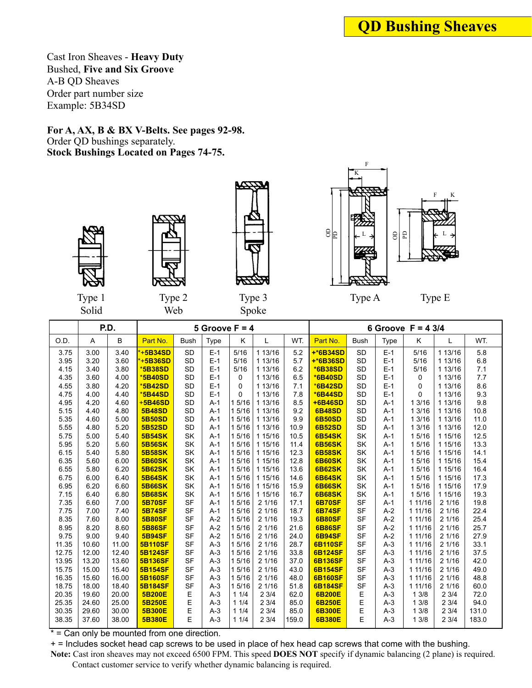Cast Iron Sheaves - **Heavy Duty** Bushed, **Five and Six Groove** A-B QD Sheaves Order part number size Example: 5B34SD

Order QD bushings separately.





Solid

Type 2





Type A

Type E

|       | Solid |       | Web            |             |                  |          | Spoke   |       |                |             |             |                              |         |       |
|-------|-------|-------|----------------|-------------|------------------|----------|---------|-------|----------------|-------------|-------------|------------------------------|---------|-------|
|       |       | P.D.  |                |             | 5 Groove $F = 4$ |          |         |       |                |             |             | 6 Groove $F = 4 \frac{3}{4}$ |         |       |
| O.D.  | A     | B     | Part No.       | <b>Bush</b> | <b>Type</b>      | Κ        | L       | WT.   | Part No.       | <b>Bush</b> | <b>Type</b> | K                            | L       | WT.   |
| 3.75  | 3.00  | 3.40  | $+5B34SD$      | <b>SD</b>   | $E-1$            | 5/16     | 1 13/16 | 5.2   | $+*6B34SD$     | <b>SD</b>   | $E-1$       | 5/16                         | 1 13/16 | 5.8   |
| 3.95  | 3.20  | 3.60  | $*+5B36SD$     | <b>SD</b>   | $E-1$            | 5/16     | 1 13/16 | 5.7   | $+*6B36SD$     | <b>SD</b>   | $E-1$       | 5/16                         | 1 13/16 | 6.8   |
| 4.15  | 3.40  | 3.80  | *5B38SD        | <b>SD</b>   | $E-1$            | 5/16     | 1 13/16 | 6.2   | *6B38SD        | <b>SD</b>   | $E-1$       | 5/16                         | 1 13/16 | 7.1   |
| 4.35  | 3.60  | 4.00  | *5B40SD        | <b>SD</b>   | $E-1$            | 0        | 1 13/16 | 6.5   | *6B40SD        | <b>SD</b>   | $E-1$       | 0                            | 1 13/16 | 7.7   |
| 4.55  | 3.80  | 4.20  | *5B42SD        | <b>SD</b>   | $E-1$            | $\Omega$ | 1 13/16 | 7.1   | *6B42SD        | <b>SD</b>   | $E-1$       | 0                            | 1 13/16 | 8.6   |
| 4.75  | 4.00  | 4.40  | *5B44SD        | <b>SD</b>   | $E-1$            | $\Omega$ | 1 13/16 | 7.8   | *6B44SD        | <b>SD</b>   | $E-1$       | 0                            | 1 13/16 | 9.3   |
| 4.95  | 4.20  | 4.60  | +5B46SD        | <b>SD</b>   | $A-1$            | 1 5/16   | 1 13/16 | 8.5   | +6B46SD        | <b>SD</b>   | $A-1$       | 1 3/16                       | 1 13/16 | 9.8   |
| 5.15  | 4.40  | 4.80  | <b>5B48SD</b>  | <b>SD</b>   | $A-1$            | 1 5/16   | 1 13/16 | 9.2   | <b>6B48SD</b>  | <b>SD</b>   | $A-1$       | 1 3/16                       | 1 13/16 | 10.8  |
| 5.35  | 4.60  | 5.00  | <b>5B50SD</b>  | <b>SD</b>   | $A-1$            | 1 5/16   | 1 13/16 | 9.9   | <b>6B50SD</b>  | <b>SD</b>   | $A-1$       | 1 3/16                       | 1 13/16 | 11.0  |
| 5.55  | 4.80  | 5.20  | <b>5B52SD</b>  | <b>SD</b>   | $A-1$            | 1 5/16   | 1 13/16 | 10.9  | <b>6B52SD</b>  | <b>SD</b>   | $A-1$       | 13/16                        | 1 13/16 | 12.0  |
| 5.75  | 5.00  | 5.40  | <b>5B54SK</b>  | SK          | $A-1$            | 1 5/16   | 1 15/16 | 10.5  | <b>6B54SK</b>  | SK          | $A-1$       | 1 5/16                       | 1 15/16 | 12.5  |
| 5.95  | 5.20  | 5.60  | <b>5B56SK</b>  | SK          | $A-1$            | 15/16    | 1 15/16 | 11.4  | <b>6B56SK</b>  | SK          | $A-1$       | 1 5/16                       | 1 15/16 | 13.3  |
| 6.15  | 5.40  | 5.80  | <b>5B58SK</b>  | SK          | $A-1$            | 1 5/16   | 1 15/16 | 12.3  | <b>6B58SK</b>  | SK          | $A-1$       | 1 5/16                       | 1 15/16 | 14.1  |
| 6.35  | 5.60  | 6.00  | <b>5B60SK</b>  | SK          | $A-1$            | 1 5/16   | 1 15/16 | 12.8  | <b>6B60SK</b>  | <b>SK</b>   | $A-1$       | 1 5/16                       | 1 15/16 | 15.4  |
| 6.55  | 5.80  | 6.20  | <b>5B62SK</b>  | SK          | $A-1$            | 1 5/16   | 1 15/16 | 13.6  | <b>6B62SK</b>  | SK          | $A-1$       | 1 5/16                       | 1 15/16 | 16.4  |
| 6.75  | 6.00  | 6.40  | <b>5B64SK</b>  | SK          | $A-1$            | 1 5/16   | 1 15/16 | 14.6  | <b>6B64SK</b>  | <b>SK</b>   | $A-1$       | 1 5/16                       | 1 15/16 | 17.3  |
| 6.95  | 6.20  | 6.60  | <b>5B66SK</b>  | SK          | $A-1$            | 1 5/16   | 1 15/16 | 15.9  | <b>6B66SK</b>  | <b>SK</b>   | $A-1$       | 1 5/16                       | 1 15/16 | 17.9  |
| 7.15  | 6.40  | 6.80  | <b>5B68SK</b>  | SK          | $A-1$            | 1 5/16   | 1 15/16 | 16.7  | <b>6B68SK</b>  | SK          | $A-1$       | 1 5/16                       | 1 15/16 | 19.3  |
| 7.35  | 6.60  | 7.00  | <b>5B70SF</b>  | <b>SF</b>   | $A-1$            | 1 5/16   | 21/16   | 17.1  | <b>6B70SF</b>  | <b>SF</b>   | $A-1$       | 1 11/16                      | 21/16   | 19.8  |
| 7.75  | 7.00  | 7.40  | <b>5B74SF</b>  | SF          | $A-1$            | 1 5/16   | 21/16   | 18.7  | <b>6B74SF</b>  | <b>SF</b>   | $A-2$       | 1 11/16                      | 21/16   | 22.4  |
| 8.35  | 7.60  | 8.00  | <b>5B80SF</b>  | SF          | $A-2$            | 1 5/16   | 21/16   | 19.3  | <b>6B80SF</b>  | <b>SF</b>   | $A-2$       | 1 11/16                      | 21/16   | 25.4  |
| 8.95  | 8.20  | 8.60  | <b>5B86SF</b>  | SF          | $A-2$            | 1 5/16   | 21/16   | 21.6  | <b>6B86SF</b>  | <b>SF</b>   | $A-2$       | 1 11/16                      | 21/16   | 25.7  |
| 9.75  | 9.00  | 9.40  | <b>5B94SF</b>  | <b>SF</b>   | $A-2$            | 1 5/16   | 21/16   | 24.0  | <b>6B94SF</b>  | <b>SF</b>   | $A-2$       | 1 11/16                      | 21/16   | 27.9  |
| 11.35 | 10.60 | 11.00 | <b>5B110SF</b> | <b>SF</b>   | $A-3$            | 1 5/16   | 21/16   | 28.7  | <b>6B110SF</b> | <b>SF</b>   | $A-3$       | 1 11/16                      | 21/16   | 33.1  |
| 12.75 | 12.00 | 12.40 | <b>5B124SF</b> | <b>SF</b>   | $A-3$            | 1 5/16   | 21/16   | 33.8  | <b>6B124SF</b> | <b>SF</b>   | $A-3$       | 1 11/16                      | 21/16   | 37.5  |
| 13.95 | 13.20 | 13.60 | <b>5B136SF</b> | <b>SF</b>   | $A-3$            | 1 5/16   | 21/16   | 37.0  | 6B136SF        | <b>SF</b>   | $A-3$       | 1 11/16                      | 21/16   | 42.0  |
| 15.75 | 15.00 | 15.40 | <b>5B154SF</b> | <b>SF</b>   | $A-3$            | 1 5/16   | 21/16   | 43.0  | 6B154SF        | <b>SF</b>   | $A-3$       | 1 11/16                      | 21/16   | 49.0  |
| 16.35 | 15.60 | 16.00 | <b>5B160SF</b> | <b>SF</b>   | $A-3$            | 15/16    | 21/16   | 48.0  | <b>6B160SF</b> | <b>SF</b>   | $A-3$       | 1 11/16                      | 21/16   | 48.8  |
| 18.75 | 18.00 | 18.40 | <b>5B184SF</b> | <b>SF</b>   | $A-3$            | 15/16    | 21/16   | 51.8  | <b>6B184SF</b> | <b>SF</b>   | $A-3$       | 1 11/16                      | 21/16   | 60.0  |
| 20.35 | 19.60 | 20.00 | 5B200E         | Ε           | $A-3$            | 11/4     | 23/4    | 62.0  | 6B200E         | Е           | $A-3$       | 13/8                         | 23/4    | 72.0  |
| 25.35 | 24.60 | 25.00 | 5B250E         | E           | $A-3$            | 11/4     | 23/4    | 85.0  | 6B250E         | E           | $A-3$       | 13/8                         | 23/4    | 94.0  |
| 30.35 | 29.60 | 30.00 | 5B300E         | E           | $A-3$            | 11/4     | 23/4    | 85.0  | 6B300E         | E           | $A-3$       | 13/8                         | 23/4    | 131.0 |
| 38.35 | 37.60 | 38.00 | <b>5B380E</b>  | E           | $A-3$            | 11/4     | 23/4    | 159.0 | 6B380E         | E           | $A-3$       | 13/8                         | 23/4    | 183.0 |
|       |       |       |                |             |                  |          |         |       |                |             |             |                              |         |       |

\* = Can only be mounted from one direction.

+ = Includes socket head cap screws to be used in place of hex head cap screws that come with the bushing.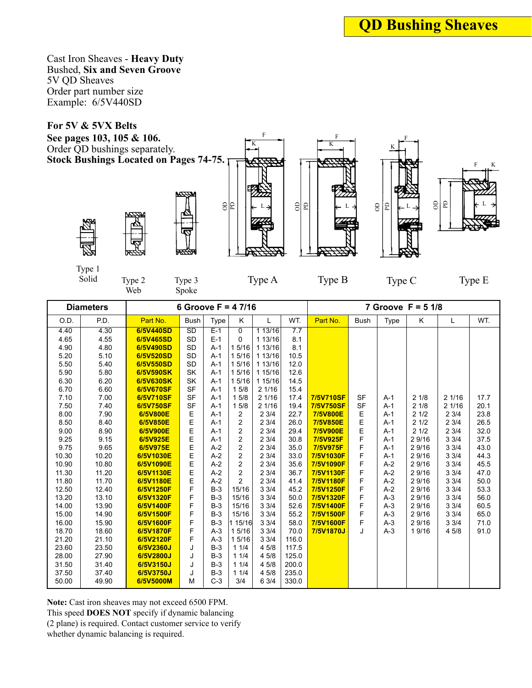Cast Iron Sheaves - **Heavy Duty** Bushed, **Six and Seven Groove** 5V QD Sheaves Order part number size Example: 6/5V440SD

Order QD bushings separately.





Type 2 Web



K 8 E al a

F





Type 1

Type 3 Spoke

Type A Type B Type C Type E

Type C

 $-F$ K

L

|       | <b>Diameters</b> |           |             |             | 6 Groove $F = 47/16$ |         |       |           |             |       | 7 Groove $F = 5 \frac{1}{8}$ |       |      |
|-------|------------------|-----------|-------------|-------------|----------------------|---------|-------|-----------|-------------|-------|------------------------------|-------|------|
| O.D.  | P.D.             | Part No.  | <b>Bush</b> | <b>Type</b> | K                    | L       | WT.   | Part No.  | <b>Bush</b> | Type  | K                            | L     | WT.  |
| 4.40  | 4.30             | 6/5V440SD | SD          | $E-1$       | 0                    | 113/16  | 7.7   |           |             |       |                              |       |      |
| 4.65  | 4.55             | 6/5V465SD | <b>SD</b>   | $E-1$       | $\Omega$             | 1 13/16 | 8.1   |           |             |       |                              |       |      |
| 4.90  | 4.80             | 6/5V490SD | <b>SD</b>   | $A-1$       | 1 5/16               | 1 13/16 | 8.1   |           |             |       |                              |       |      |
| 5.20  | 5.10             | 6/5V520SD | <b>SD</b>   | $A-1$       | 1 5/16               | 1 13/16 | 10.5  |           |             |       |                              |       |      |
| 5.50  | 5.40             | 6/5V550SD | <b>SD</b>   | $A-1$       | 1 5/16               | 1 13/16 | 12.0  |           |             |       |                              |       |      |
| 5.90  | 5.80             | 6/5V590SK | <b>SK</b>   | $A-1$       | 1 5/16               | 1 15/16 | 12.6  |           |             |       |                              |       |      |
| 6.30  | 6.20             | 6/5V630SK | <b>SK</b>   | $A-1$       | 1 5/16               | 1 15/16 | 14.5  |           |             |       |                              |       |      |
| 6.70  | 6.60             | 6/5V670SF | <b>SF</b>   | $A-1$       | 15/8                 | 21/16   | 15.4  |           |             |       |                              |       |      |
| 7.10  | 7.00             | 6/5V710SF | <b>SF</b>   | $A-1$       | 15/8                 | 21/16   | 17.4  | 7/5V710SF | <b>SF</b>   | $A-1$ | 21/8                         | 21/16 | 17.7 |
| 7.50  | 7.40             | 6/5V750SF | <b>SF</b>   | $A-1$       | 15/8                 | 21/16   | 19.4  | 7/5V750SF | <b>SF</b>   | $A-1$ | 21/8                         | 21/16 | 20.1 |
| 8.00  | 7.90             | 6/5V800E  | E           | $A-1$       | 2                    | 23/4    | 22.7  | 7/5V800E  | $\mathsf E$ | $A-1$ | 21/2                         | 23/4  | 23.8 |
| 8.50  | 8.40             | 6/5V850E  | E           | $A-1$       | 2                    | 23/4    | 26.0  | 7/5V850E  | E           | $A-1$ | 21/2                         | 23/4  | 26.5 |
| 9.00  | 8.90             | 6/5V900E  | E           | $A-1$       | 2                    | 23/4    | 29.4  | 7/5V900E  | E           | $A-1$ | 21/2                         | 23/4  | 32.0 |
| 9.25  | 9.15             | 6/5V925E  | E           | $A-1$       | 2                    | 23/4    | 30.8  | 7/5V925F  | F           | $A-1$ | 2 9/16                       | 33/4  | 37.5 |
| 9.75  | 9.65             | 6/5V975E  | E           | $A-2$       | $\overline{c}$       | 23/4    | 35.0  | 7/5V975F  | F           | $A-1$ | 2 9/16                       | 33/4  | 43.0 |
| 10.30 | 10.20            | 6/5V1030E | E           | $A-2$       | $\overline{2}$       | 23/4    | 33.0  | 7/5V1030F | F           | $A-1$ | 2 9/16                       | 33/4  | 44.3 |
| 10.90 | 10.80            | 6/5V1090E | E           | $A-2$       | 2                    | 23/4    | 35.6  | 7/5V1090F | F           | $A-2$ | 2 9/16                       | 33/4  | 45.5 |
| 11.30 | 11.20            | 6/5V1130E | E           | $A-2$       | $\overline{c}$       | 23/4    | 36.7  | 7/5V1130F | F           | $A-2$ | 29/16                        | 33/4  | 47.0 |
| 11.80 | 11.70            | 6/5V1180E | E           | $A-2$       | $\overline{2}$       | 23/4    | 41.4  | 7/5V1180F | F           | $A-2$ | 2 9/16                       | 33/4  | 50.0 |
| 12.50 | 12.40            | 6/5V1250F | F           | $B-3$       | 15/16                | 33/4    | 45.2  | 7/5V1250F | F           | $A-2$ | 2 9/16                       | 33/4  | 53.3 |
| 13.20 | 13.10            | 6/5V1320F | F           | $B-3$       | 15/16                | 33/4    | 50.0  | 7/5V1320F | F           | $A-3$ | 29/16                        | 33/4  | 56.0 |
| 14.00 | 13.90            | 6/5V1400F | F           | $B-3$       | 15/16                | 33/4    | 52.6  | 7/5V1400F | F           | $A-3$ | 2 9/16                       | 33/4  | 60.5 |
| 15.00 | 14.90            | 6/5V1500F | F           | $B-3$       | 15/16                | 33/4    | 55.2  | 7/5V1500F | F           | $A-3$ | 2 9/16                       | 33/4  | 65.0 |
| 16.00 | 15.90            | 6/5V1600F | F           | $B-3$       | 1 15/16              | 33/4    | 58.0  | 7/5V1600F | F           | $A-3$ | 2 9/16                       | 33/4  | 71.0 |
| 18.70 | 18.60            | 6/5V1870F | F           | $A-3$       | 1 5/16               | 33/4    | 70.0  | 7/5V1870J | J           | $A-3$ | 19/16                        | 4 5/8 | 91.0 |
| 21.20 | 21.10            | 6/5V2120F | F           | $A-3$       | 1 5/16               | 33/4    | 116.0 |           |             |       |                              |       |      |
| 23.60 | 23.50            | 6/5V2360J | J           | $B-3$       | 11/4                 | 4 5/8   | 117.5 |           |             |       |                              |       |      |
| 28.00 | 27.90            | 6/5V2800J | J           | $B-3$       | 11/4                 | 4 5/8   | 125.0 |           |             |       |                              |       |      |
| 31.50 | 31.40            | 6/5V3150J | J           | $B-3$       | 11/4                 | 4 5/8   | 200.0 |           |             |       |                              |       |      |
| 37.50 | 37.40            | 6/5V3750J | J           | $B-3$       | 11/4                 | 4 5/8   | 235.0 |           |             |       |                              |       |      |
| 50.00 | 49.90            | 6/5V5000M | M           | $C-3$       | 3/4                  | 6 3/4   | 330.0 |           |             |       |                              |       |      |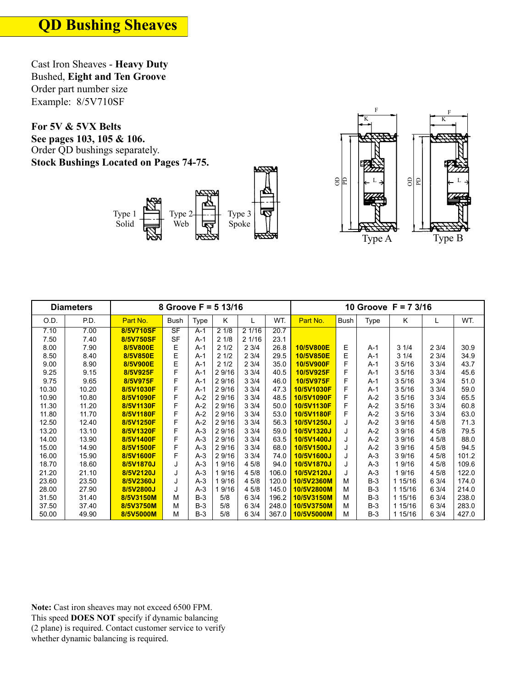Cast Iron Sheaves - **Heavy Duty** Bushed, **Eight and Ten Groove**  Order part number size Example: 8/5V710SF

Order QD bushings separately.





|       | <b>Diameters</b> |           |           |       | 8 Groove $F = 5 13/16$ |       |       | 10 Groove F = 7 3/16 |      |             |         |       |       |
|-------|------------------|-----------|-----------|-------|------------------------|-------|-------|----------------------|------|-------------|---------|-------|-------|
| O.D.  | P.D.             | Part No.  | Bush      | Type  | κ                      | L     | WT.   | Part No.             | Bush | <b>Type</b> | K       | L     | WT.   |
| 7.10  | 7.00             | 8/5V710SF | SF        | $A-1$ | 21/8                   | 21/16 | 20.7  |                      |      |             |         |       |       |
| 7.50  | 7.40             | 8/5V750SF | <b>SF</b> | $A-1$ | 21/8                   | 21/16 | 23.1  |                      |      |             |         |       |       |
| 8.00  | 7.90             | 8/5V800E  | Ε         | $A-1$ | 21/2                   | 23/4  | 26.8  | 10/5V800E            | Е    | A-1         | 31/4    | 2 3/4 | 30.9  |
| 8.50  | 8.40             | 8/5V850E  | E         | $A-1$ | 21/2                   | 23/4  | 29.5  | 10/5V850E            | E    | $A-1$       | 31/4    | 23/4  | 34.9  |
| 9.00  | 8.90             | 8/5V900E  | E         | $A-1$ | 21/2                   | 23/4  | 35.0  | 10/5V900F            | F    | A-1         | 35/16   | 33/4  | 43.7  |
| 9.25  | 9.15             | 8/5V925F  | F         | $A-1$ | 2 9/16                 | 33/4  | 40.5  | 10/5V925F            | F    | $A-1$       | 35/16   | 33/4  | 45.6  |
| 9.75  | 9.65             | 8/5V975F  | F         | $A-1$ | 2 9/16                 | 33/4  | 46.0  | 10/5V975F            | F    | A-1         | 35/16   | 33/4  | 51.0  |
| 10.30 | 10.20            | 8/5V1030F | F         | $A-1$ | 2 9/16                 | 33/4  | 47.3  | 10/5V1030F           | F    | A-1         | 35/16   | 33/4  | 59.0  |
| 10.90 | 10.80            | 8/5V1090F | F         | $A-2$ | 2 9/16                 | 33/4  | 48.5  | 10/5V1090F           | F    | $A-2$       | 35/16   | 33/4  | 65.5  |
| 11.30 | 11.20            | 8/5V1130F | F         | $A-2$ | 29/16                  | 33/4  | 50.0  | 10/5V1130F           | F    | $A-2$       | 35/16   | 33/4  | 60.8  |
| 11.80 | 11.70            | 8/5V1180F | F         | $A-2$ | 29/16                  | 33/4  | 53.0  | 10/5V1180F           | F    | $A-2$       | 35/16   | 33/4  | 63.0  |
| 12.50 | 12.40            | 8/5V1250F | F         | $A-2$ | 29/16                  | 33/4  | 56.3  | 10/5V1250J           | J    | $A-2$       | 39/16   | 4 5/8 | 71.3  |
| 13.20 | 13.10            | 8/5V1320F | F         | $A-3$ | 29/16                  | 33/4  | 59.0  | 10/5V1320J           |      | $A-2$       | 39/16   | 45/8  | 79.5  |
| 14.00 | 13.90            | 8/5V1400F | F         | $A-3$ | 2 9/16                 | 33/4  | 63.5  | 10/5V1400J           |      | $A-2$       | 3 9/16  | 4 5/8 | 88.0  |
| 15.00 | 14.90            | 8/5V1500F | F         | $A-3$ | 2 9/16                 | 33/4  | 68.0  | 10/5V1500J           |      | $A-2$       | 3 9/16  | 4 5/8 | 94.5  |
| 16.00 | 15.90            | 8/5V1600F | F         | $A-3$ | 2 9/16                 | 33/4  | 74.0  | 10/5V1600J           |      | $A-3$       | 3 9/16  | 4 5/8 | 101.2 |
| 18.70 | 18.60            | 8/5V1870J | J         | $A-3$ | 19/16                  | 4 5/8 | 94.0  | 10/5V1870J           | J    | $A-3$       | 1 9/16  | 4 5/8 | 109.6 |
| 21.20 | 21.10            | 8/5V2120J | J         | $A-3$ | 9/16                   | 45/8  | 106.0 | 10/5V2120J           |      | $A-3$       | 9/16    | 45/8  | 122.0 |
| 23.60 | 23.50            | 8/5V2360J | J         | $A-3$ | 19/16                  | 4 5/8 | 120.0 | 10/5V2360M           | м    | $B-3$       | 1 15/16 | 6 3/4 | 174.0 |
| 28.00 | 27.90            | 8/5V2800J | J         | $A-3$ | 9/16                   | 4 5/8 | 145.0 | 10/5V2800M           | M    | $B-3$       | 1 15/16 | 63/4  | 214.0 |
| 31.50 | 31.40            | 8/5V3150M | М         | $B-3$ | 5/8                    | 6 3/4 | 196.2 | 10/5V3150M           | М    | $B-3$       | 1 15/16 | 6 3/4 | 238.0 |
| 37.50 | 37.40            | 8/5V3750M | М         | $B-3$ | 5/8                    | 63/4  | 248.0 | 10/5V3750M           | М    | $B-3$       | 1 15/16 | 6 3/4 | 283.0 |
| 50.00 | 49.90            | 8/5V5000M | М         | $B-3$ | 5/8                    | 6 3/4 | 367.0 | 10/5V5000M           | М    | $B-3$       | 1 15/16 | 6 3/4 | 427.0 |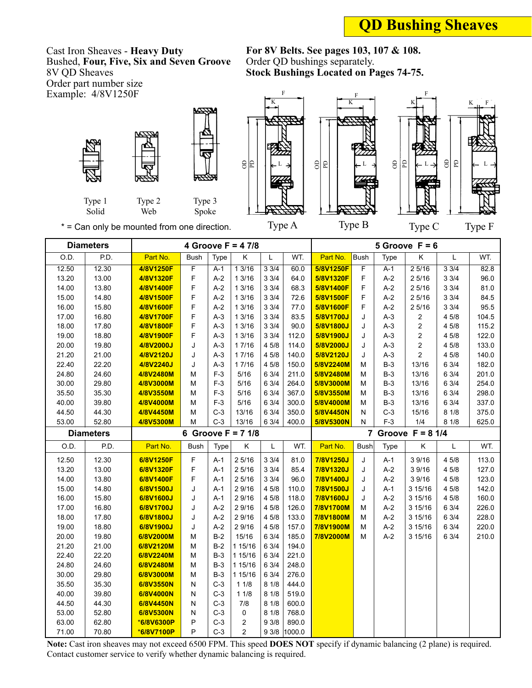## **QD Bushing Sheaves**

Cast Iron Sheaves - **Heavy Duty** Bushed, **Four, Five, Six and Seven Groove** 8V QD Sheaves Order part number size Example:  $4/8V1250F$ 

Order QD bushings separately.



Type 1 Solid



Type 3 Spoke

81



F





Web \* = Can only be mounted from one direction.

Type 2

| <b>Diameters</b>  |                   |            |                |       | 4 Groove $F = 47/8$ |       |              | 5 Groove $F = 6$             |             |       |                         |       |       |
|-------------------|-------------------|------------|----------------|-------|---------------------|-------|--------------|------------------------------|-------------|-------|-------------------------|-------|-------|
| $\overline{O.D.}$ | $\overline{PD}$ . | Part No.   | Bush           | Type  | Κ                   | Г     | WT.          | Part No.                     | Bush        | Type  | $\overline{\mathsf{K}}$ | Г     | WT.   |
| 12.50             | 12.30             | 4/8V1250F  | $\overline{F}$ | $A-1$ | 13/16               | 33/4  | 60.0         | 5/8V1250F                    | F           | $A-1$ | 25/16                   | 33/4  | 82.8  |
| 13.20             | 13.00             | 4/8V1320F  | F              | $A-2$ | 13/16               | 33/4  | 64.0         | 5/8V1320F                    | F           | $A-2$ | 25/16                   | 33/4  | 96.0  |
| 14.00             | 13.80             | 4/8V1400F  | F              | $A-2$ | 13/16               | 33/4  | 68.3         | 5/8V1400F                    | F           | $A-2$ | 25/16                   | 33/4  | 81.0  |
| 15.00             | 14.80             | 4/8V1500F  | F              | $A-2$ | 1 3/16              | 33/4  | 72.6         | 5/8V1500F                    | F           | $A-2$ | 25/16                   | 33/4  | 84.5  |
| 16.00             | 15.80             | 4/8V1600F  | F              | $A-2$ | 13/16               | 33/4  | 77.0         | 5/8V1600F                    | F           | $A-2$ | 2 5/16                  | 33/4  | 95.5  |
| 17.00             | 16.80             | 4/8V1700F  | F              | $A-3$ | 13/16               | 33/4  | 83.5         | 5/8V1700J                    | J           | $A-3$ | $\boldsymbol{2}$        | 4 5/8 | 104.5 |
| 18.00             | 17.80             | 4/8V1800F  | F              | $A-3$ | 1 3/16              | 33/4  | 90.0         | 5/8V1800J                    | J           | $A-3$ | 2                       | 4 5/8 | 115.2 |
| 19.00             | 18.80             | 4/8V1900F  | F              | $A-3$ | 13/16               | 33/4  | 112.0        | 5/8V1900J                    | J           | $A-3$ | 2                       | 4 5/8 | 122.0 |
| 20.00             | 19.80             | 4/8V2000J  | J              | $A-3$ | 17/16               | 4 5/8 | 114.0        | 5/8V2000J                    | J           | $A-3$ | 2                       | 4 5/8 | 133.0 |
| 21.20             | 21.00             | 4/8V2120J  | J              | $A-3$ | 1 7/16              | 4 5/8 | 140.0        | 5/8V2120J                    | J           | $A-3$ | $\mathbf{2}$            | 4 5/8 | 140.0 |
| 22.40             | 22.20             | 4/8V2240J  | J              | $A-3$ | 17/16               | 45/8  | 150.0        | 5/8V2240M                    | М           | $B-3$ | 13/16                   | 6 3/4 | 182.0 |
| 24.80             | 24.60             | 4/8V2480M  | M              | $F-3$ | 5/16                | 6 3/4 | 211.0        | 5/8V2480M                    | М           | $B-3$ | 13/16                   | 6 3/4 | 201.0 |
| 30.00             | 29.80             | 4/8V3000M  | М              | $F-3$ | 5/16                | 6 3/4 | 264.0        | 5/8V3000M                    | М           | $B-3$ | 13/16                   | 6 3/4 | 254.0 |
| 35.50             | 35.30             | 4/8V3550M  | M              | $F-3$ | 5/16                | 6 3/4 | 367.0        | 5/8V3550M                    | М           | $B-3$ | 13/16                   | 6 3/4 | 298.0 |
| 40.00             | 39.80             | 4/8V4000M  | М              | $F-3$ | 5/16                | 6 3/4 | 300.0        | 5/8V4000M                    | М           | $B-3$ | 13/16                   | 6 3/4 | 337.0 |
| 44.50             | 44.30             | 4/8V4450M  | M              | $C-3$ | 13/16               | 6 3/4 | 350.0        | 5/8V4450N                    | N           | $C-3$ | 15/16                   | 8 1/8 | 375.0 |
| 53.00             | 52.80             | 4/8V5300M  | M              | $C-3$ | 13/16               | 6 3/4 | 400.0        | 5/8V5300N                    | N           | $F-3$ | 1/4                     | 81/8  | 625.0 |
|                   | <b>Diameters</b>  |            |                |       | 6 Groove $F = 71/8$ |       |              | 7 Groove $F = 8 \frac{1}{4}$ |             |       |                         |       |       |
| O.D.              | P.D.              | Part No.   | <b>Bush</b>    | Type  | Κ                   | Г     | WT.          | Part No.                     | <b>Bush</b> | Type  | Κ                       | Г     | WT.   |
| 12.50             | 12.30             | 6/8V1250F  | $\mathsf F$    | $A-1$ | 25/16               | 33/4  | 81.0         | 7/8V1250J                    | J           | $A-1$ | 3 9/16                  | 4 5/8 | 113.0 |
| 13.20             | 13.00             | 6/8V1320F  | F              | A-1   | 25/16               | 33/4  | 85.4         | 7/8V1320J                    | J           | $A-2$ | 3 9/16                  | 4 5/8 | 127.0 |
| 14.00             | 13.80             | 6/8V1400F  | F              | $A-1$ | 25/16               | 33/4  | 96.0         | 7/8V1400J                    | J           | $A-2$ | 3 9/16                  | 4 5/8 | 123.0 |
| 15.00             | 14.80             | 6/8V1500J  | J              | $A-1$ | 2 9/16              | 45/8  | 110.0        | 7/8V1500J                    | J           | $A-1$ | 3 15/16                 | 4 5/8 | 142.0 |
| 16.00             | 15.80             | 6/8V1600J  | J              | A-1   | 2 9/16              | 4 5/8 | 118.0        | 7/8V1600J                    | J           | $A-2$ | 3 15/16                 | 4 5/8 | 160.0 |
| 17.00             | 16.80             | 6/8V1700J  | J              | $A-2$ | 2 9/16              | 45/8  | 126.0        | 7/8V1700M                    | М           | $A-2$ | 3 15/16                 | 6 3/4 | 226.0 |
| 18.00             | 17.80             | 6/8V1800J  | J              | $A-2$ | 2 9/16              | 4 5/8 | 133.0        | 7/8V1800M                    | М           | $A-2$ | 3 15/16                 | 6 3/4 | 228.0 |
| 19.00             | 18.80             | 6/8V1900J  | J              | $A-2$ | 2 9/16              | 45/8  | 157.0        | 7/8V1900M                    | M           | $A-2$ | 3 15/16                 | 6 3/4 | 220.0 |
| 20.00             | 19.80             | 6/8V2000M  | M              | $B-2$ | 15/16               | 6 3/4 | 185.0        | 7/8V2000M                    | M           | $A-2$ | 3 15/16                 | 6 3/4 | 210.0 |
| 21.20             | 21.00             | 6/8V2120M  | M              | $B-2$ | 1 15/16             | 6 3/4 | 194.0        |                              |             |       |                         |       |       |
| 22.40             | 22.20             | 6/8V2240M  | M              | $B-3$ | 1 15/16             | 6 3/4 | 221.0        |                              |             |       |                         |       |       |
| 24.80             | 24.60             | 6/8V2480M  | M              | $B-3$ | 1 15/16             | 6 3/4 | 248.0        |                              |             |       |                         |       |       |
| 30.00             | 29.80             | 6/8V3000M  | M              | $B-3$ | 1 15/16             | 6 3/4 | 276.0        |                              |             |       |                         |       |       |
| 35.50             | 35.30             | 6/8V3550N  | ${\sf N}$      | $C-3$ | 11/8                | 81/8  | 444.0        |                              |             |       |                         |       |       |
| 40.00             | 39.80             | 6/8V4000N  | N              | $C-3$ | 11/8                | 81/8  | 519.0        |                              |             |       |                         |       |       |
| 44.50             | 44.30             | 6/8V4450N  | N              | $C-3$ | 7/8                 | 8 1/8 | 600.0        |                              |             |       |                         |       |       |
| 53.00             | 52.80             | 6/8V5300N  | N              | $C-3$ | 0                   | 8 1/8 | 768.0        |                              |             |       |                         |       |       |
| 63.00             | 62.80             | *6/8V6300P | P              | $C-3$ | $\overline{2}$      | 93/8  | 890.0        |                              |             |       |                         |       |       |
| 71.00             | 70.80             | *6/8V7100P | P              | $C-3$ | 2                   |       | 9 3/8 1000.0 |                              |             |       |                         |       |       |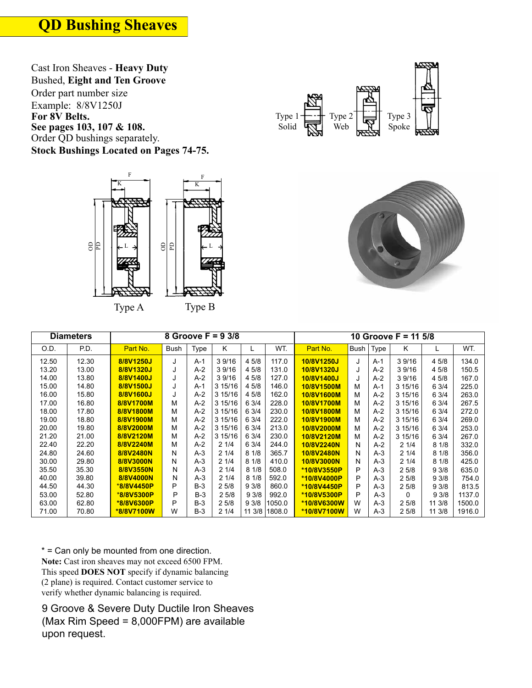**QD Bushing Sheaves**

Cast Iron Sheaves - **Heavy Duty** Bushed, **Eight and Ten Groove**  Order part number size Example: 8/8V1250J

Order QD bushings separately.







|       | <b>Diameters</b> |            |             |       | 8 Groove $F = 93/8$ |        |        |             |      |       | 10 Groove $F = 115/8$ |        |        |
|-------|------------------|------------|-------------|-------|---------------------|--------|--------|-------------|------|-------|-----------------------|--------|--------|
| O.D.  | P.D.             | Part No.   | <b>Bush</b> | Type  | K.                  | L      | WT.    | Part No.    | Bush | Type  | K                     |        | WT.    |
| 12.50 | 12.30            | 8/8V1250J  | J           | $A-1$ | 39/16               | 45/8   | 117.0  | 10/8V1250J  | J    | $A-1$ | 39/16                 | 4 5/8  | 134.0  |
| 13.20 | 13.00            | 8/8V1320J  | J           | $A-2$ | 39/16               | 4 5/8  | 131.0  | 10/8V1320J  | J    | $A-2$ | 3 9/16                | 4 5/8  | 150.5  |
| 14.00 | 13.80            | 8/8V1400J  | J           | $A-2$ | 39/16               | 4 5/8  | 127.0  | 10/8V1400J  |      | $A-2$ | 3 9/16                | 4 5/8  | 167.0  |
| 15.00 | 14.80            | 8/8V1500J  | J           | $A-1$ | 3 15/16             | 4 5/8  | 146.0  | 10/8V1500M  | M    | A-1   | 3 15/16               | 6 3/4  | 225.0  |
| 16.00 | 15.80            | 8/8V1600J  | J           | $A-2$ | 3 15/16             | 45/8   | 162.0  | 10/8V1600M  | М    | $A-2$ | 3 15/16               | 6 3/4  | 263.0  |
| 17.00 | 16.80            | 8/8V1700M  | М           | $A-2$ | 3 15/16             | 63/4   | 228.0  | 10/8V1700M  | М    | $A-2$ | 3 15/16               | 6 3/4  | 267.5  |
| 18.00 | 17.80            | 8/8V1800M  | M           | $A-2$ | 3 15/16             | 6 3/4  | 230.0  | 10/8V1800M  | М    | $A-2$ | 3 15/16               | 6 3/4  | 272.0  |
| 19.00 | 18.80            | 8/8V1900M  | M           | $A-2$ | 3 15/16             | 6 3/4  | 222.0  | 10/8V1900M  | М    | $A-2$ | 3 15/16               | 6 3/4  | 269.0  |
| 20.00 | 19.80            | 8/8V2000M  | М           | $A-2$ | 3 15/16             | 6 3/4  | 213.0  | 10/8V2000M  | М    | $A-2$ | 315/16                | 6 3/4  | 253.0  |
| 21.20 | 21.00            | 8/8V2120M  | M           | $A-2$ | 3 15/16             | 6 3/4  | 230.0  | 10/8V2120M  | м    | $A-2$ | 3 15/16               | 6 3/4  | 267.0  |
| 22.40 | 22.20            | 8/8V2240M  | М           | $A-2$ | 21/4                | 6 3/4  | 244.0  | 10/8V2240N  | Ν    | $A-2$ | 21/4                  | 81/8   | 332.0  |
| 24.80 | 24.60            | 8/8V2480N  | N           | $A-3$ | 21/4                | 81/8   | 365.7  | 10/8V2480N  | N    | $A-3$ | 21/4                  | 81/8   | 356.0  |
| 30.00 | 29.80            | 8/8V3000N  | N           | $A-3$ | 21/4                | 81/8   | 410.0  | 10/8V3000N  | N    | $A-3$ | 21/4                  | 81/8   | 425.0  |
| 35.50 | 35.30            | 8/8V3550N  | N           | $A-3$ | 21/4                | 81/8   | 508.0  | *10/8V3550P | P    | $A-3$ | 25/8                  | 93/8   | 635.0  |
| 40.00 | 39.80            | 8/8V4000N  | N           | $A-3$ | 21/4                | 81/8   | 592.0  | *10/8V4000P | P    | $A-3$ | 25/8                  | 93/8   | 754.0  |
| 44.50 | 44.30            | *8/8V4450P | P           | $B-3$ | 25/8                | 93/8   | 860.0  | *10/8V4450P | P    | $A-3$ | 25/8                  | 93/8   | 813.5  |
| 53.00 | 52.80            | *8/8V5300P | P           | $B-3$ | 25/8                | 93/8   | 992.0  | *10/8V5300P | P    | $A-3$ | 0                     | 93/8   | 1137.0 |
| 63.00 | 62.80            | *8/8V6300P | P           | $B-3$ | 25/8                | 93/8   | 1050.0 | *10/8V6300W | W    | $A-3$ | 25/8                  | 11 3/8 | 1500.0 |
| 71.00 | 70.80            | *8/8V7100W | W           | $B-3$ | 21/4                | 11 3/8 | 1808.0 | *10/8V7100W | W    | $A-3$ | 25/8                  | 11 3/8 | 1916.0 |

\* = Can only be mounted from one direction. **Note:** Cast iron sheaves may not exceed 6500 FPM. This speed **DOES NOT** specify if dynamic balancing (2 plane) is required. Contact customer service to verify whether dynamic balancing is required.

9 Groove & Severe Duty Ductile Iron Sheaves (Max Rim Speed = 8,000FPM) are available upon request.